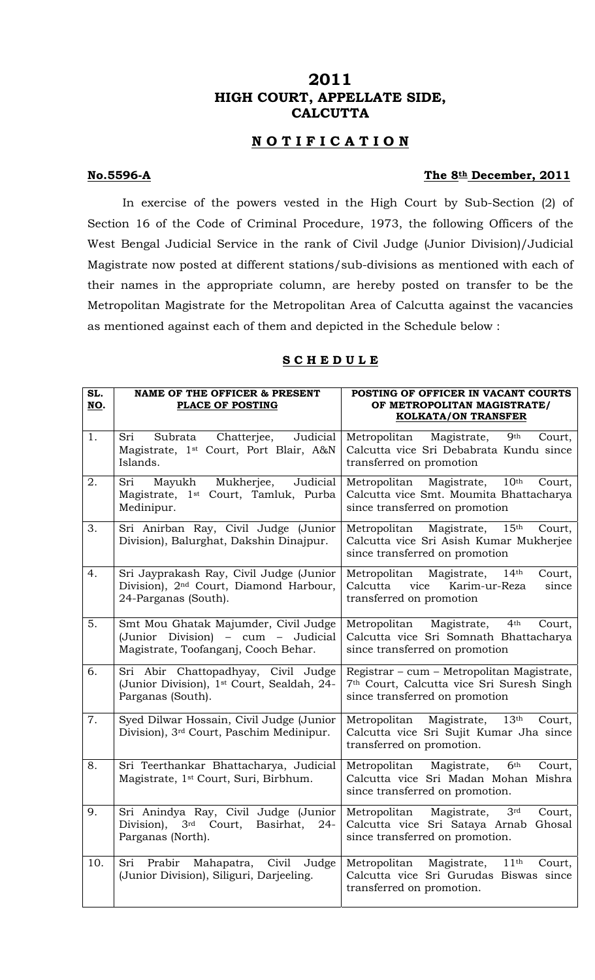# **2011 HIGH COURT, APPELLATE SIDE, CALCUTTA**

## **N O T I F I C A T I O N**

#### **No.5596-A** The 8<sup>th</sup> December, 2011

 In exercise of the powers vested in the High Court by Sub-Section (2) of Section 16 of the Code of Criminal Procedure, 1973, the following Officers of the West Bengal Judicial Service in the rank of Civil Judge (Junior Division)/Judicial Magistrate now posted at different stations/sub-divisions as mentioned with each of their names in the appropriate column, are hereby posted on transfer to be the Metropolitan Magistrate for the Metropolitan Area of Calcutta against the vacancies as mentioned against each of them and depicted in the Schedule below :

| SL.<br>NO. | <b>NAME OF THE OFFICER &amp; PRESENT</b><br>PLACE OF POSTING                                                          | POSTING OF OFFICER IN VACANT COURTS<br>OF METROPOLITAN MAGISTRATE/<br><b>KOLKATA/ON TRANSFER</b>                                       |
|------------|-----------------------------------------------------------------------------------------------------------------------|----------------------------------------------------------------------------------------------------------------------------------------|
| 1.         | Judicial<br>Sri<br>Subrata Chatterjee,<br>Magistrate, 1 <sup>st</sup> Court, Port Blair, A&N<br>Islands.              | Magistrate,<br>Metropolitan<br>9 <sup>th</sup><br>Court,<br>Calcutta vice Sri Debabrata Kundu since<br>transferred on promotion        |
| 2.         | Sri<br>Judicial<br>Mukherjee,<br>Mayukh<br>Magistrate, 1 <sup>st</sup> Court, Tamluk, Purba<br>Medinipur.             | Magistrate,<br>$10^{\text{th}}$<br>Metropolitan<br>Court,<br>Calcutta vice Smt. Moumita Bhattacharya<br>since transferred on promotion |
| 3.         | Sri Anirban Ray, Civil Judge (Junior<br>Division), Balurghat, Dakshin Dinajpur.                                       | Metropolitan Magistrate,<br>15 <sup>th</sup><br>Court,<br>Calcutta vice Sri Asish Kumar Mukherjee<br>since transferred on promotion    |
| 4.         | Sri Jayprakash Ray, Civil Judge (Junior<br>Division), 2 <sup>nd</sup> Court, Diamond Harbour,<br>24-Parganas (South). | Metropolitan Magistrate,<br>14 <sup>th</sup><br>Court,<br>Calcutta vice<br>Karim-ur-Reza<br>since<br>transferred on promotion          |
| 5.         | Smt Mou Ghatak Majumder, Civil Judge<br>(Junior Division) - cum - Judicial<br>Magistrate, Toofanganj, Cooch Behar.    | Metropolitan Magistrate,<br>4 <sup>th</sup><br>Court,<br>Calcutta vice Sri Somnath Bhattacharya<br>since transferred on promotion      |
| 6.         | Sri Abir Chattopadhyay, Civil Judge<br>(Junior Division), 1 <sup>st</sup> Court, Sealdah, 24-<br>Parganas (South).    | Registrar – cum – Metropolitan Magistrate,<br>7th Court, Calcutta vice Sri Suresh Singh<br>since transferred on promotion              |
| 7.         | Syed Dilwar Hossain, Civil Judge (Junior<br>Division), 3 <sup>rd</sup> Court, Paschim Medinipur.                      | Metropolitan Magistrate,<br>13 <sup>th</sup><br>Court,<br>Calcutta vice Sri Sujit Kumar Jha since<br>transferred on promotion.         |
| 8.         | Sri Teerthankar Bhattacharya, Judicial<br>Magistrate, 1 <sup>st</sup> Court, Suri, Birbhum.                           | Metropolitan Magistrate,<br>6 <sup>th</sup><br>Court,<br>Calcutta vice Sri Madan Mohan Mishra<br>since transferred on promotion.       |
| 9.         | Sri Anindya Ray, Civil Judge (Junior<br>Division), 3rd Court, Basirhat, 24-<br>Parganas (North).                      | Metropolitan Magistrate,<br>3 <sup>rd</sup><br>Court,<br>Calcutta vice Sri Sataya Arnab Ghosal<br>since transferred on promotion.      |
| 10.        | Prabir<br>Mahapatra,<br>Civil<br>Sri<br>Judge<br>(Junior Division), Siliguri, Darjeeling.                             | Metropolitan<br>11 <sup>th</sup><br>Magistrate,<br>Court,<br>Calcutta vice Sri Gurudas Biswas since<br>transferred on promotion.       |

#### **S C H E D U L E**